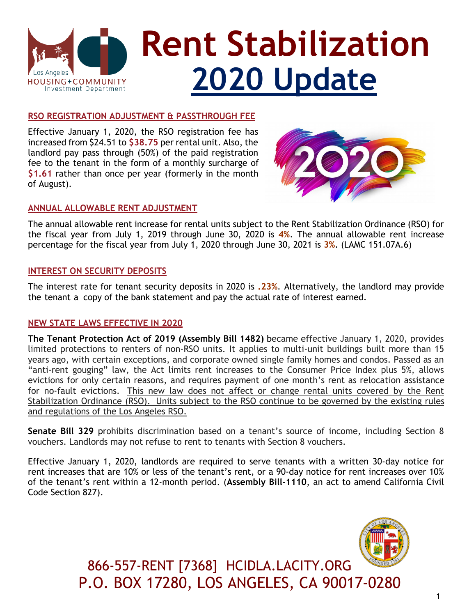

### **RSO REGISTRATION ADJUSTMENT & PASSTHROUGH FEE**

Effective January 1, 2020, the RSO registration fee has increased from \$24.51 to **\$38.75** per rental unit. Also, the landlord pay pass through (50%) of the paid registration fee to the tenant in the form of a monthly surcharge of **\$1.61** rather than once per year (formerly in the month of August).



### **ANNUAL ALLOWABLE RENT ADJUSTMENT**

The annual allowable rent increase for rental units subject to the Rent Stabilization Ordinance (RSO) for the fiscal year from July 1, 2019 through June 30, 2020 is **4%**. The annual allowable rent increase percentage for the fiscal year from July 1, 2020 through June 30, 2021 is **3%**. (LAMC 151.07A.6)

### **INTEREST ON SECURITY DEPOSITS**

The interest rate for tenant security deposits in 2020 is **.23%**. Alternatively, the landlord may provide the tenant a copy of the bank statement and pay the actual rate of interest earned.

### **NEW STATE LAWS EFFECTIVE IN 2020**

**The Tenant Protection Act of 2019 (Assembly Bill 1482)** became effective January 1, 2020, provides limited protections to renters of non-RSO units. It applies to multi-unit buildings built more than 15 years ago, with certain exceptions, and corporate owned single family homes and condos. Passed as an "anti-rent gouging" law, the Act limits rent increases to the Consumer Price Index plus 5%, allows evictions for only certain reasons, and requires payment of one month's rent as relocation assistance for no-fault evictions. This new law does not affect or change rental units covered by the Rent Stabilization Ordinance (RSO). Units subject to the RSO continue to be governed by the existing rules and regulations of the Los Angeles RSO.

**Senate Bill 329** prohibits discrimination based on a tenant's source of income, including Section 8 vouchers. Landlords may not refuse to rent to tenants with Section 8 vouchers.

Effective January 1, 2020, landlords are required to serve tenants with a written 30-day notice for rent increases that are 10% or less of the tenant's rent, or a 90-day notice for rent increases over 10% of the tenant's rent within a 12-month period. (**Assembly Bill-1110**, an act to amend California Civil Code Section 827).



866-557-RENT [7368] HCIDLA.LACITY.ORG P.O. BOX 17280, LOS ANGELES, CA 90017-0280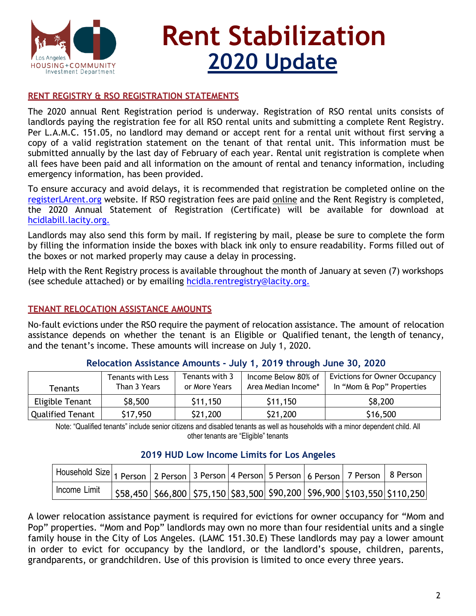

# **Rent Stabilization 2020 Update**

### **RENT REGISTRY & RSO REGISTRATION STATEMENTS**

The 2020 annual Rent Registration period is underway. Registration of RSO rental units consists of landlords paying the registration fee for all RSO rental units and submitting a complete Rent Registry. Per L.A.M.C. 151.05, no landlord may demand or accept rent for a rental unit without first serving a copy of a valid registration statement on the tenant of that rental unit. This information must be submitted annually by the last day of February of each year. Rental unit registration is complete when all fees have been paid and all information on the amount of rental and tenancy information, including emergency information, has been provided.

To ensure accuracy and avoid delays, it is recommended that registration be completed online on the [registerLArent.org](https://hcidlabill.lacity.org/RentRegistry/IDM/USerAccount/Login) website. If RSO registration fees are paid online and the Rent Registry is completed, the 2020 Annual Statement of Registration (Certificate) will be available for download at [hcidlabill.lacity.org.](https://hcidlabill.lacity.org/Billing/)

Landlords may also send this form by mail. If registering by mail, please be sure to complete the form by filling the information inside the boxes with black ink only to ensure readability. Forms filled out of the boxes or not marked properly may cause a delay in processing.

Help with the Rent Registry process is available throughout the month of January at seven (7) workshops (see schedule attached) or by emailing hcidla.rentregistry@lacity.org.

### **TENANT RELOCATION ASSISTANCE AMOUNTS**

No-fault evictions under the RSO require the payment of relocation assistance. The amount of relocation assistance depends on whether the tenant is an Eligible or Qualified tenant, the length of tenancy, and the tenant's income. These amounts will increase on July 1, 2020.

| Tenants                 | <b>Tenants with Less</b><br>Than 3 Years | Tenants with 3<br>or More Years | Income Below 80% of<br>Area Median Income* | Evictions for Owner Occupancy<br>In "Mom & Pop" Properties |
|-------------------------|------------------------------------------|---------------------------------|--------------------------------------------|------------------------------------------------------------|
| Eligible Tenant         | \$8,500                                  | \$11,150                        | \$11,150                                   | \$8,200                                                    |
| <b>Qualified Tenant</b> | \$17,950                                 | \$21,200                        | \$21,200                                   | \$16,500                                                   |

### **Relocation Assistance Amounts - July 1, 2019 through June 30, 2020**

Note: "Qualified tenants" include senior citizens and disabled tenants as well as households with a minor dependent child. All other tenants are "Eligible" tenants

| Household Size 1 Person 2 Person 3 Person 4 Person 5 Person 6 Person 7 Person 8 Person |  |  |  |                                                                                                  |  |
|----------------------------------------------------------------------------------------|--|--|--|--------------------------------------------------------------------------------------------------|--|
| Income Limit                                                                           |  |  |  | $\left  \frac{558,450}{566,800} \right $ \$75,150 \$83,500 \$90,200 \$96,900 \$103,550 \$110,250 |  |

### **2019 HUD Low Income Limits for Los Angeles**

A lower relocation assistance payment is required for evictions for owner occupancy for "Mom and Pop" properties. "Mom and Pop" landlords may own no more than four residential units and a single family house in the City of Los Angeles. (LAMC 151.30.E) These landlords may pay a lower amount in order to evict for occupancy by the landlord, or the landlord's spouse, children, parents, grandparents, or grandchildren. Use of this provision is limited to once every three years.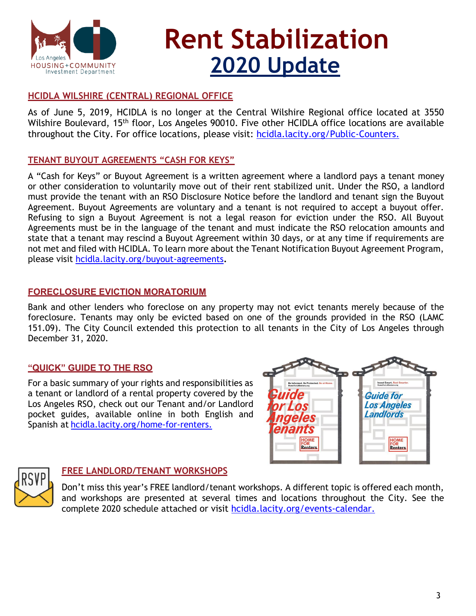

# **Rent Stabilization 2020 Update**

### **HCIDLA WILSHIRE (CENTRAL) REGIONAL OFFICE**

As of June 5, 2019, HCIDLA is no longer at the Central Wilshire Regional office located at 3550 Wilshire Boulevard, 15<sup>th</sup> floor, Los Angeles 90010. Five other HCIDLA office locations are available throughout the City. For office locations, please visit: [hcidla.lacity.org/Public-Counters.](https://hcidla.lacity.org/Public-Counters)

### **TENANT BUYOUT AGREEMENTS "CASH FOR KEYS"**

A "Cash for Keys" or Buyout Agreement is a written agreement where a landlord pays a tenant money or other consideration to voluntarily move out of their rent stabilized unit. Under the RSO, a landlord must provide the tenant with an RSO Disclosure Notice before the landlord and tenant sign the Buyout Agreement. Buyout Agreements are voluntary and a tenant is not required to accept a buyout offer. Refusing to sign a Buyout Agreement is not a legal reason for eviction under the RSO. All Buyout Agreements must be in the language of the tenant and must indicate the RSO relocation amounts and state that a tenant may rescind a Buyout Agreement within 30 days, or at any time if requirements are not met and filed with HCIDLA. To learn more about the Tenant Notification Buyout Agreement Program, please visit [hcidla.lacity.org/buyout-agreements](https://hcidla.lacity.org/buyout-agreements)**.** 

### **FORECLOSURE EVICTION MORATORIUM**

Bank and other lenders who foreclose on any property may not evict tenants merely because of the foreclosure. Tenants may only be evicted based on one of the grounds provided in the RSO (LAMC 151.09). The City Council extended this protection to all tenants in the City of Los Angeles through December 31, 2020.

### **"QUICK" GUIDE TO THE RSO**

For a basic summary of your rights and responsibilities as a tenant or landlord of a rental property covered by the Los Angeles RSO, check out our Tenant and/or Landlord pocket guides, available online in both English and Spanish at [hcidla.lacity.org/home-for-renters.](http://hcidla.lacity.org/home-for-renters)





### **FREE LANDLORD/TENANT WORKSHOPS**

Don't miss this year's FREE landlord/tenant workshops. A different topic is offered each month, and workshops are presented at several times and locations throughout the City. See the complete 2020 schedule attached or visit [hcidla.lacity.org/events-calendar](https://hcidla.lacity.org/events-calendar).